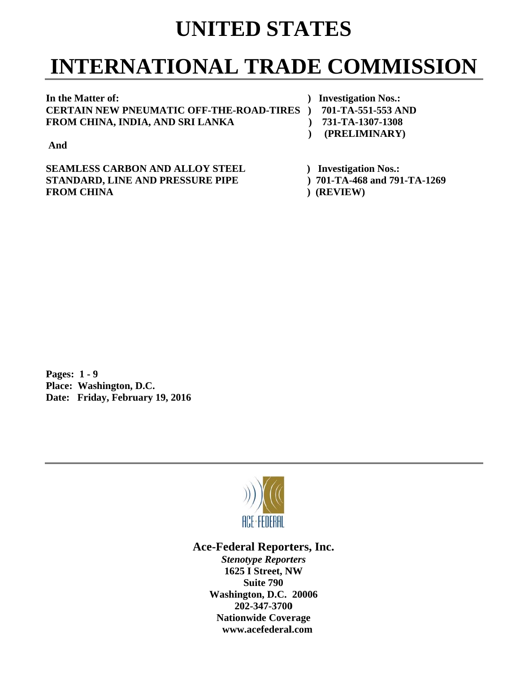## **UNITED STATES**

# **INTERNATIONAL TRADE COMMISSION**

In the Matter of: **C CERTAIN N NEW PNEU UMATIC O OFF-THE-R ROAD-TIRE ES ) 701- F FROM CHI INA, INDIA A, AND SRI I LANKA** 

*()* Investigation Nos.:

- **-TA-551-553 3 AND**
- **1251** 1307-1308 **(PRELIMINARY)**

**A And** 

**SEAMLESS CARBON AND ALLOY STEEL STANDARD, LINE AND PRESSURE PIPE F FROM CHI INA** 

- *()* Investigation Nos.:
- **) 701-T TA-468 and 791-TA-126 9**
- **(REVIEW)**

**P Pages: 1 - 9** Pages: 1 - 9<br>Place: Washington, D.C. Date: Friday, February 19, 2016



Ace-Federal Reporters, Inc.

**Stenotype Reporters 1625 I Street, NW Washin gton, D.C. 20006 20 02-347-3700** 202-347-3700<br>Nationwide Coverage **www w.acefederal l.com Suite 790**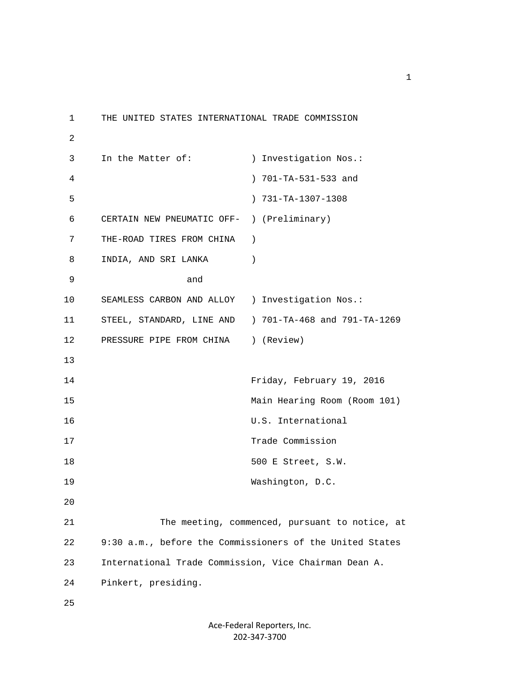1 THE UNITED STATES INTERNATIONAL TRADE COMMISSION 2 3 In the Matter of: ) Investigation Nos.: 4 ) 701-TA-531-533 and 5 ) 731-TA-1307-1308 6 CERTAIN NEW PNEUMATIC OFF- ) (Preliminary) 7 THE-ROAD TIRES FROM CHINA ) 8 INDIA, AND SRI LANKA (1) 9 and 10 SEAMLESS CARBON AND ALLOY ) Investigation Nos.: 11 STEEL, STANDARD, LINE AND ) 701-TA-468 and 791-TA-1269 12 PRESSURE PIPE FROM CHINA ) (Review) 13 14 Friday, February 19, 2016 15 Main Hearing Room (Room 101) 16 U.S. International 17 Trade Commission 18 500 E Street, S.W. 19 Washington, D.C. 20 21 The meeting, commenced, pursuant to notice, at 22 9:30 a.m., before the Commissioners of the United States 23 International Trade Commission, Vice Chairman Dean A. 24 Pinkert, presiding. 25

### Ace‐Federal Reporters, Inc. 202‐347‐3700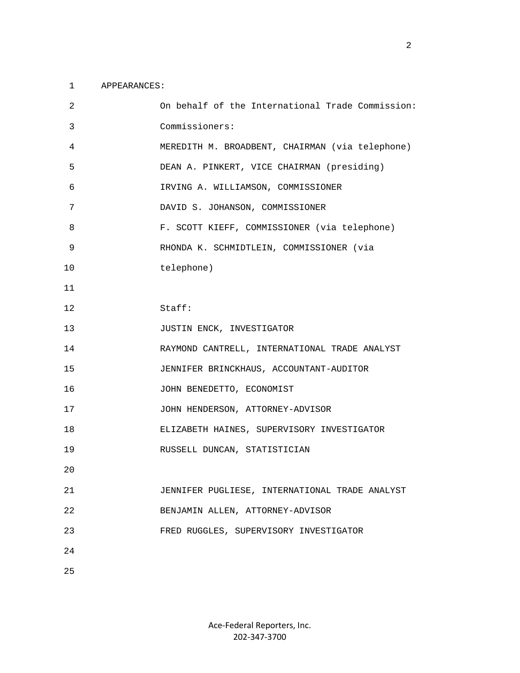#### 1 APPEARANCES:

| $\overline{c}$ | On behalf of the International Trade Commission: |
|----------------|--------------------------------------------------|
| 3              | Commissioners:                                   |
| 4              | MEREDITH M. BROADBENT, CHAIRMAN (via telephone)  |
| 5              | DEAN A. PINKERT, VICE CHAIRMAN (presiding)       |
| 6              | IRVING A. WILLIAMSON, COMMISSIONER               |
| 7              | DAVID S. JOHANSON, COMMISSIONER                  |
| 8              | F. SCOTT KIEFF, COMMISSIONER (via telephone)     |
| 9              | RHONDA K. SCHMIDTLEIN, COMMISSIONER (via         |
| 10             | telephone)                                       |
| 11             |                                                  |
| 12             | Staff:                                           |
| 13             | JUSTIN ENCK, INVESTIGATOR                        |
| 14             | RAYMOND CANTRELL, INTERNATIONAL TRADE ANALYST    |
| 15             | JENNIFER BRINCKHAUS, ACCOUNTANT-AUDITOR          |
| 16             | JOHN BENEDETTO, ECONOMIST                        |
| 17             | JOHN HENDERSON, ATTORNEY-ADVISOR                 |
| 18             | ELIZABETH HAINES, SUPERVISORY INVESTIGATOR       |
| 19             | RUSSELL DUNCAN, STATISTICIAN                     |
| 20             |                                                  |
| 21             | JENNIFER PUGLIESE, INTERNATIONAL TRADE ANALYST   |
| 22             | BENJAMIN ALLEN, ATTORNEY-ADVISOR                 |
| 23             | FRED RUGGLES, SUPERVISORY INVESTIGATOR           |
| 24             |                                                  |
| 25             |                                                  |

2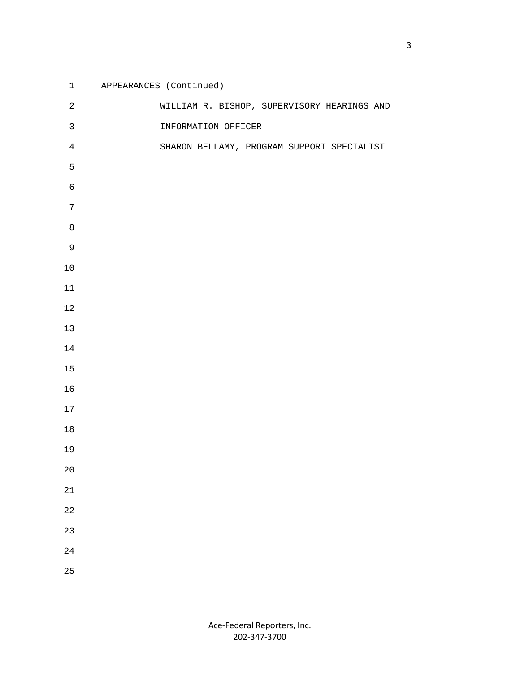| $\mathbf{1}$   | APPEARANCES (Continued)                     |
|----------------|---------------------------------------------|
| $\overline{c}$ | WILLIAM R. BISHOP, SUPERVISORY HEARINGS AND |
| $\mathsf{3}$   | INFORMATION OFFICER                         |
| $\overline{4}$ | SHARON BELLAMY, PROGRAM SUPPORT SPECIALIST  |
| 5              |                                             |
| 6              |                                             |
| $\overline{7}$ |                                             |
| $\,8\,$        |                                             |
| $\mathsf 9$    |                                             |
| $10$           |                                             |
| $11\,$         |                                             |
| $1\,2$         |                                             |
| $13$           |                                             |
| 14             |                                             |
| $15$           |                                             |
| 16             |                                             |
| $17\,$         |                                             |
| $18\,$         |                                             |
| 19             |                                             |
| $20\,$         |                                             |
| 21             |                                             |
| 22             |                                             |
| 23             |                                             |
| 24             |                                             |
| 25             |                                             |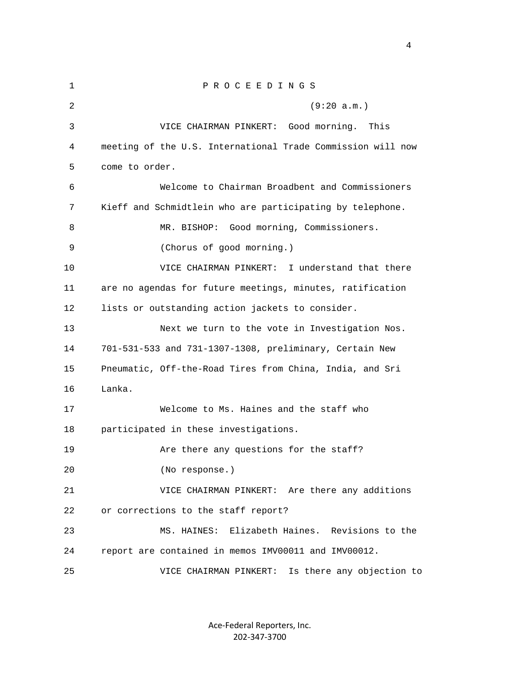1 P R O C E E D I N G S 2 (9:20 a.m.) 3 VICE CHAIRMAN PINKERT: Good morning. This 4 meeting of the U.S. International Trade Commission will now 5 come to order. 6 Welcome to Chairman Broadbent and Commissioners 7 Kieff and Schmidtlein who are participating by telephone. 8 MR. BISHOP: Good morning, Commissioners. 9 (Chorus of good morning.) 10 VICE CHAIRMAN PINKERT: I understand that there 11 are no agendas for future meetings, minutes, ratification 12 lists or outstanding action jackets to consider. 13 Next we turn to the vote in Investigation Nos. 14 701-531-533 and 731-1307-1308, preliminary, Certain New 15 Pneumatic, Off-the-Road Tires from China, India, and Sri 16 Lanka. 17 Welcome to Ms. Haines and the staff who 18 participated in these investigations. 19 Are there any questions for the staff? 20 (No response.) 21 VICE CHAIRMAN PINKERT: Are there any additions 22 or corrections to the staff report? 23 MS. HAINES: Elizabeth Haines. Revisions to the 24 report are contained in memos IMV00011 and IMV00012. 25 VICE CHAIRMAN PINKERT: Is there any objection to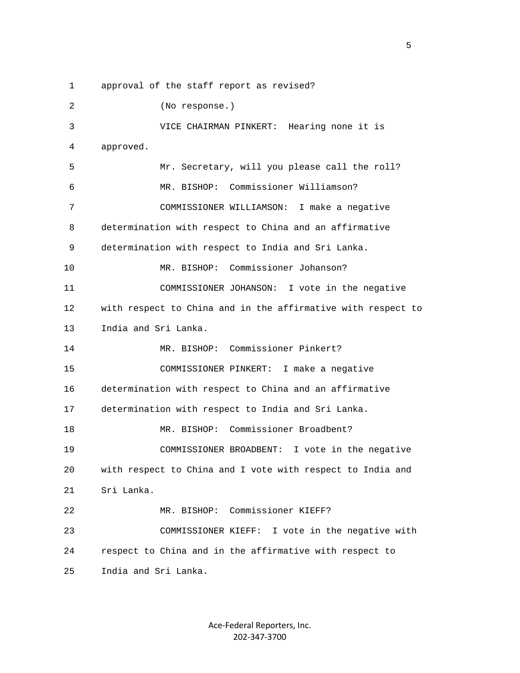1 approval of the staff report as revised?

 2 (No response.) 3 VICE CHAIRMAN PINKERT: Hearing none it is 4 approved. 5 Mr. Secretary, will you please call the roll? 6 MR. BISHOP: Commissioner Williamson? 7 COMMISSIONER WILLIAMSON: I make a negative 8 determination with respect to China and an affirmative 9 determination with respect to India and Sri Lanka. 10 MR. BISHOP: Commissioner Johanson? 11 COMMISSIONER JOHANSON: I vote in the negative 12 with respect to China and in the affirmative with respect to 13 India and Sri Lanka. 14 MR. BISHOP: Commissioner Pinkert? 15 COMMISSIONER PINKERT: I make a negative 16 determination with respect to China and an affirmative 17 determination with respect to India and Sri Lanka. 18 MR. BISHOP: Commissioner Broadbent? 19 COMMISSIONER BROADBENT: I vote in the negative 20 with respect to China and I vote with respect to India and 21 Sri Lanka. 22 MR. BISHOP: Commissioner KIEFF? 23 COMMISSIONER KIEFF: I vote in the negative with 24 respect to China and in the affirmative with respect to 25 India and Sri Lanka.

 $\sim$  5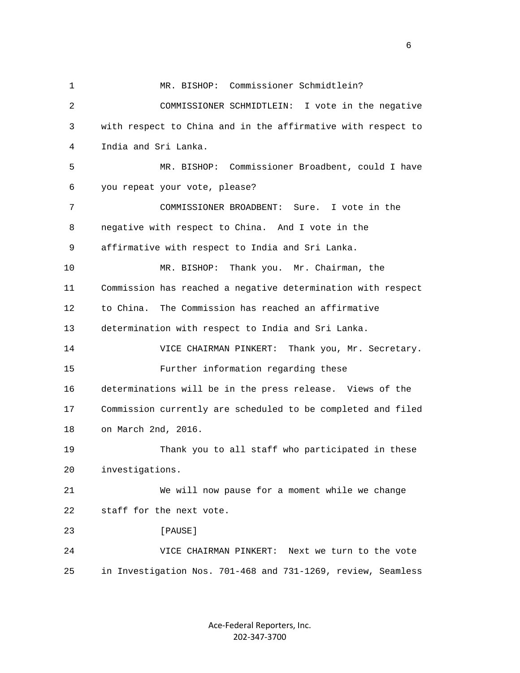1 MR. BISHOP: Commissioner Schmidtlein? 2 COMMISSIONER SCHMIDTLEIN: I vote in the negative 3 with respect to China and in the affirmative with respect to 4 India and Sri Lanka. 5 MR. BISHOP: Commissioner Broadbent, could I have 6 you repeat your vote, please? 7 COMMISSIONER BROADBENT: Sure. I vote in the 8 negative with respect to China. And I vote in the 9 affirmative with respect to India and Sri Lanka. 10 MR. BISHOP: Thank you. Mr. Chairman, the 11 Commission has reached a negative determination with respect 12 to China. The Commission has reached an affirmative 13 determination with respect to India and Sri Lanka. 14 VICE CHAIRMAN PINKERT: Thank you, Mr. Secretary. 15 Further information regarding these 16 determinations will be in the press release. Views of the 17 Commission currently are scheduled to be completed and filed 18 on March 2nd, 2016. 19 Thank you to all staff who participated in these 20 investigations. 21 We will now pause for a moment while we change 22 staff for the next vote. 23 **[PAUSE]**  24 VICE CHAIRMAN PINKERT: Next we turn to the vote 25 in Investigation Nos. 701-468 and 731-1269, review, Seamless

> Ace‐Federal Reporters, Inc. 202‐347‐3700

 $\sim$  6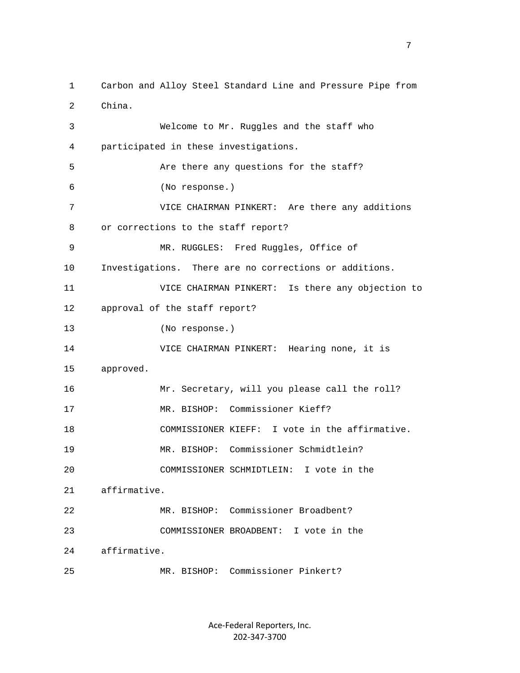1 Carbon and Alloy Steel Standard Line and Pressure Pipe from 2 China. 3 Welcome to Mr. Ruggles and the staff who 4 participated in these investigations. 5 Are there any questions for the staff? 6 (No response.) 7 VICE CHAIRMAN PINKERT: Are there any additions 8 or corrections to the staff report? 9 MR. RUGGLES: Fred Ruggles, Office of 10 Investigations. There are no corrections or additions. 11 VICE CHAIRMAN PINKERT: Is there any objection to 12 approval of the staff report? 13 (No response.) 14 VICE CHAIRMAN PINKERT: Hearing none, it is 15 approved. 16 Mr. Secretary, will you please call the roll? 17 MR. BISHOP: Commissioner Kieff? 18 COMMISSIONER KIEFF: I vote in the affirmative. 19 MR. BISHOP: Commissioner Schmidtlein? 20 COMMISSIONER SCHMIDTLEIN: I vote in the 21 affirmative. 22 MR. BISHOP: Commissioner Broadbent? 23 COMMISSIONER BROADBENT: I vote in the 24 affirmative. 25 MR. BISHOP: Commissioner Pinkert?

> Ace‐Federal Reporters, Inc. 202‐347‐3700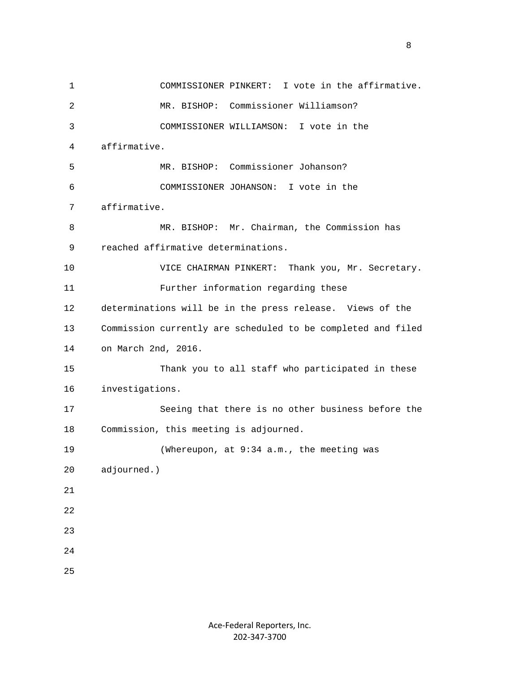1 COMMISSIONER PINKERT: I vote in the affirmative. 2 MR. BISHOP: Commissioner Williamson? 3 COMMISSIONER WILLIAMSON: I vote in the 4 affirmative. 5 MR. BISHOP: Commissioner Johanson? 6 COMMISSIONER JOHANSON: I vote in the 7 affirmative. 8 MR. BISHOP: Mr. Chairman, the Commission has 9 reached affirmative determinations. 10 VICE CHAIRMAN PINKERT: Thank you, Mr. Secretary. 11 Further information regarding these 12 determinations will be in the press release. Views of the 13 Commission currently are scheduled to be completed and filed 14 on March 2nd, 2016. 15 Thank you to all staff who participated in these 16 investigations. 17 Seeing that there is no other business before the 18 Commission, this meeting is adjourned. 19 (Whereupon, at 9:34 a.m., the meeting was 20 adjourned.) 21 22 23 24 25

experience of the state of the state of the state of the state of the state of the state of the state of the s